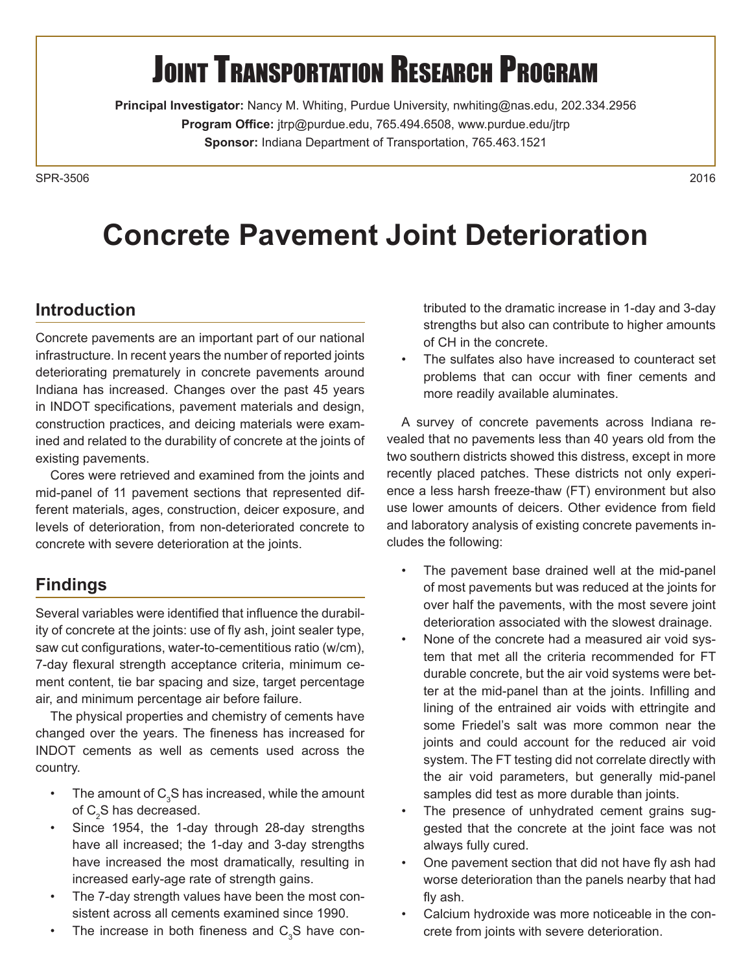# **JOINT TRANSPORTATION RESEARCH PROGRAM**

**Principal Investigator:** Nancy M. Whiting, Purdue University, [nwhiting@nas.edu, 20](mailto:nwhiting@nas.edu)2.334.2956 **Program Office:** [jtrp@purdue.edu, 76](mailto:jtrp@purdue.edu)5.494.6508, [www.purdue.edu/jtrp](http://www.purdue.edu/jtrp) **Sponsor:** Indiana Department of Transportation, 765.463.1521

SPR-35062016

## **Concrete Pavement Joint Deterioration**

### **Introduction**

Concrete pavements are an important part of our national infrastructure. In recent years the number of reported joints deteriorating prematurely in concrete pavements around Indiana has increased. Changes over the past 45 years in INDOT specifications, pavement materials and design, construction practices, and deicing materials were examined and related to the durability of concrete at the joints of existing pavements.

Cores were retrieved and examined from the joints and mid-panel of 11 pavement sections that represented different materials, ages, construction, deicer exposure, and levels of deterioration, from non-deteriorated concrete to concrete with severe deterioration at the joints.

### **Findings**

Several variables were identified that influence the durability of concrete at the joints: use of fly ash, joint sealer type, saw cut configurations, water-to-cementitious ratio (w/cm), 7-day flexural strength acceptance criteria, minimum cement content, tie bar spacing and size, target percentage air, and minimum percentage air before failure.

The physical properties and chemistry of cements have changed over the years. The fineness has increased for INDOT cements as well as cements used across the country.

- The amount of  $C_3S$  has increased, while the amount of  $\textsf{C}_\textsf{2}\textsf{S}$  has decreased.
- Since 1954, the 1-day through 28-day strengths have all increased; the 1-day and 3-day strengths have increased the most dramatically, resulting in increased early-age rate of strength gains.
- The 7-day strength values have been the most consistent across all cements examined since 1990.
- The increase in both fineness and  $C_3S$  have con-

tributed to the dramatic increase in 1-day and 3-day strengths but also can contribute to higher amounts of CH in the concrete.

The sulfates also have increased to counteract set problems that can occur with finer cements and more readily available aluminates.

A survey of concrete pavements across Indiana revealed that no pavements less than 40 years old from the two southern districts showed this distress, except in more recently placed patches. These districts not only experience a less harsh freeze-thaw (FT) environment but also use lower amounts of deicers. Other evidence from field and laboratory analysis of existing concrete pavements includes the following:

- The pavement base drained well at the mid-panel of most pavements but was reduced at the joints for over half the pavements, with the most severe joint deterioration associated with the slowest drainage.
- None of the concrete had a measured air void system that met all the criteria recommended for FT durable concrete, but the air void systems were better at the mid-panel than at the joints. Infilling and lining of the entrained air voids with ettringite and some Friedel's salt was more common near the joints and could account for the reduced air void system. The FT testing did not correlate directly with the air void parameters, but generally mid-panel samples did test as more durable than joints.
- The presence of unhydrated cement grains suggested that the concrete at the joint face was not always fully cured.
- One pavement section that did not have fly ash had worse deterioration than the panels nearby that had fly ash.
- Calcium hydroxide was more noticeable in the concrete from joints with severe deterioration.